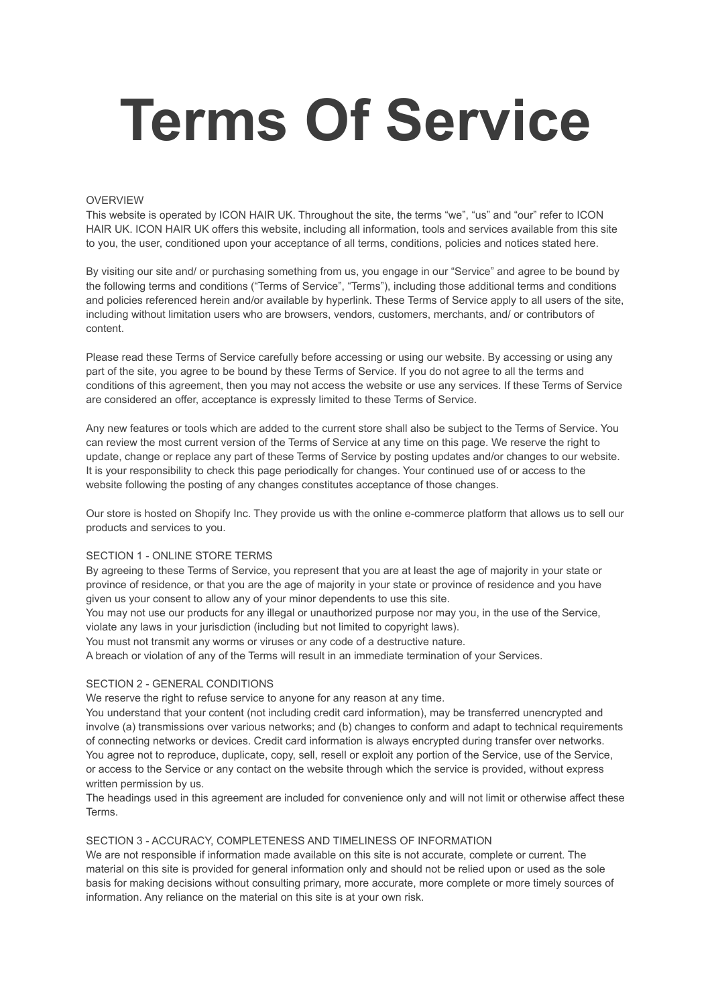# **Terms Of Service**

## OVERVIEW

This website is operated by ICON HAIR UK. Throughout the site, the terms "we", "us" and "our" refer to ICON HAIR UK. ICON HAIR UK offers this website, including all information, tools and services available from this site to you, the user, conditioned upon your acceptance of all terms, conditions, policies and notices stated here.

By visiting our site and/ or purchasing something from us, you engage in our "Service" and agree to be bound by the following terms and conditions ("Terms of Service", "Terms"), including those additional terms and conditions and policies referenced herein and/or available by hyperlink. These Terms of Service apply to all users of the site, including without limitation users who are browsers, vendors, customers, merchants, and/ or contributors of content.

Please read these Terms of Service carefully before accessing or using our website. By accessing or using any part of the site, you agree to be bound by these Terms of Service. If you do not agree to all the terms and conditions of this agreement, then you may not access the website or use any services. If these Terms of Service are considered an offer, acceptance is expressly limited to these Terms of Service.

Any new features or tools which are added to the current store shall also be subject to the Terms of Service. You can review the most current version of the Terms of Service at any time on this page. We reserve the right to update, change or replace any part of these Terms of Service by posting updates and/or changes to our website. It is your responsibility to check this page periodically for changes. Your continued use of or access to the website following the posting of any changes constitutes acceptance of those changes.

Our store is hosted on Shopify Inc. They provide us with the online e-commerce platform that allows us to sell our products and services to you.

## SECTION 1 - ONLINE STORE TERMS

By agreeing to these Terms of Service, you represent that you are at least the age of majority in your state or province of residence, or that you are the age of majority in your state or province of residence and you have given us your consent to allow any of your minor dependents to use this site.

You may not use our products for any illegal or unauthorized purpose nor may you, in the use of the Service, violate any laws in your jurisdiction (including but not limited to copyright laws).

You must not transmit any worms or viruses or any code of a destructive nature.

A breach or violation of any of the Terms will result in an immediate termination of your Services.

# SECTION 2 - GENERAL CONDITIONS

We reserve the right to refuse service to anyone for any reason at any time.

You understand that your content (not including credit card information), may be transferred unencrypted and involve (a) transmissions over various networks; and (b) changes to conform and adapt to technical requirements of connecting networks or devices. Credit card information is always encrypted during transfer over networks. You agree not to reproduce, duplicate, copy, sell, resell or exploit any portion of the Service, use of the Service, or access to the Service or any contact on the website through which the service is provided, without express written permission by us.

The headings used in this agreement are included for convenience only and will not limit or otherwise affect these Terms.

## SECTION 3 - ACCURACY, COMPLETENESS AND TIMELINESS OF INFORMATION

We are not responsible if information made available on this site is not accurate, complete or current. The material on this site is provided for general information only and should not be relied upon or used as the sole basis for making decisions without consulting primary, more accurate, more complete or more timely sources of information. Any reliance on the material on this site is at your own risk.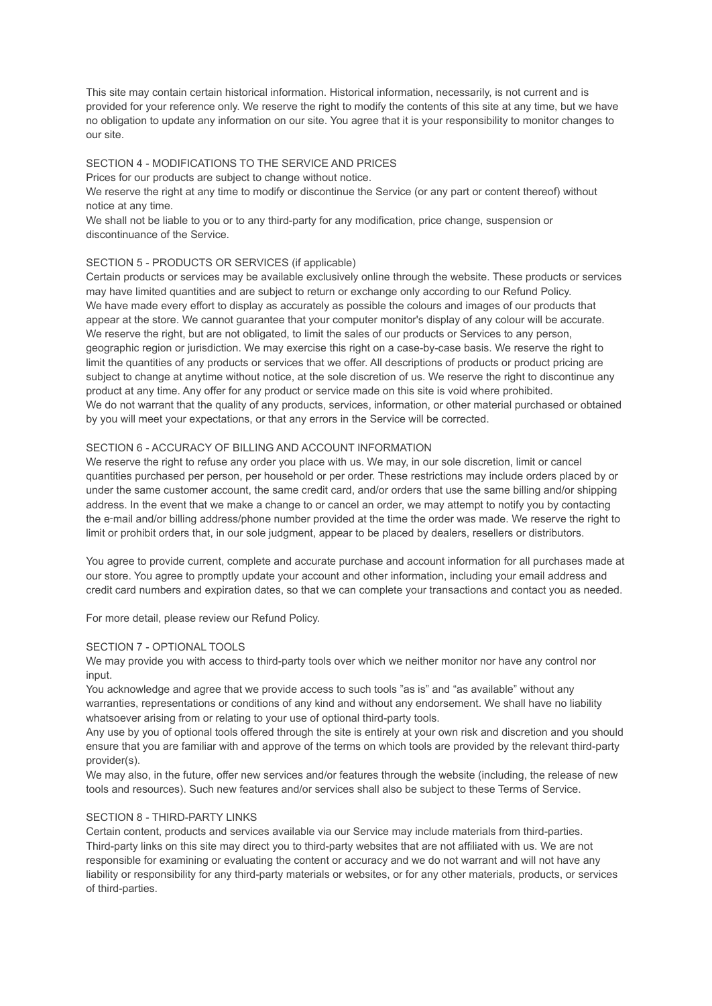This site may contain certain historical information. Historical information, necessarily, is not current and is provided for your reference only. We reserve the right to modify the contents of this site at any time, but we have no obligation to update any information on our site. You agree that it is your responsibility to monitor changes to our site.

# SECTION 4 - MODIFICATIONS TO THE SERVICE AND PRICES

Prices for our products are subject to change without notice.

We reserve the right at any time to modify or discontinue the Service (or any part or content thereof) without notice at any time.

We shall not be liable to you or to any third-party for any modification, price change, suspension or discontinuance of the Service.

# SECTION 5 - PRODUCTS OR SERVICES (if applicable)

Certain products or services may be available exclusively online through the website. These products or services may have limited quantities and are subject to return or exchange only according to our Refund Policy. We have made every effort to display as accurately as possible the colours and images of our products that appear at the store. We cannot guarantee that your computer monitor's display of any colour will be accurate. We reserve the right, but are not obligated, to limit the sales of our products or Services to any person, geographic region or jurisdiction. We may exercise this right on a case-by-case basis. We reserve the right to limit the quantities of any products or services that we offer. All descriptions of products or product pricing are subject to change at anytime without notice, at the sole discretion of us. We reserve the right to discontinue any product at any time. Any offer for any product or service made on this site is void where prohibited. We do not warrant that the quality of any products, services, information, or other material purchased or obtained by you will meet your expectations, or that any errors in the Service will be corrected.

## SECTION 6 - ACCURACY OF BILLING AND ACCOUNT INFORMATION

We reserve the right to refuse any order you place with us. We may, in our sole discretion, limit or cancel quantities purchased per person, per household or per order. These restrictions may include orders placed by or under the same customer account, the same credit card, and/or orders that use the same billing and/or shipping address. In the event that we make a change to or cancel an order, we may attempt to notify you by contacting the e-mail and/or billing address/phone number provided at the time the order was made. We reserve the right to limit or prohibit orders that, in our sole judgment, appear to be placed by dealers, resellers or distributors.

You agree to provide current, complete and accurate purchase and account information for all purchases made at our store. You agree to promptly update your account and other information, including your email address and credit card numbers and expiration dates, so that we can complete your transactions and contact you as needed.

For more detail, please review our Refund Policy.

# SECTION 7 - OPTIONAL TOOLS

We may provide you with access to third-party tools over which we neither monitor nor have any control nor input.

You acknowledge and agree that we provide access to such tools "as is" and "as available" without any warranties, representations or conditions of any kind and without any endorsement. We shall have no liability whatsoever arising from or relating to your use of optional third-party tools.

Any use by you of optional tools offered through the site is entirely at your own risk and discretion and you should ensure that you are familiar with and approve of the terms on which tools are provided by the relevant third-party provider(s).

We may also, in the future, offer new services and/or features through the website (including, the release of new tools and resources). Such new features and/or services shall also be subject to these Terms of Service.

## SECTION 8 - THIRD-PARTY LINKS

Certain content, products and services available via our Service may include materials from third-parties. Third-party links on this site may direct you to third-party websites that are not affiliated with us. We are not responsible for examining or evaluating the content or accuracy and we do not warrant and will not have any liability or responsibility for any third-party materials or websites, or for any other materials, products, or services of third-parties.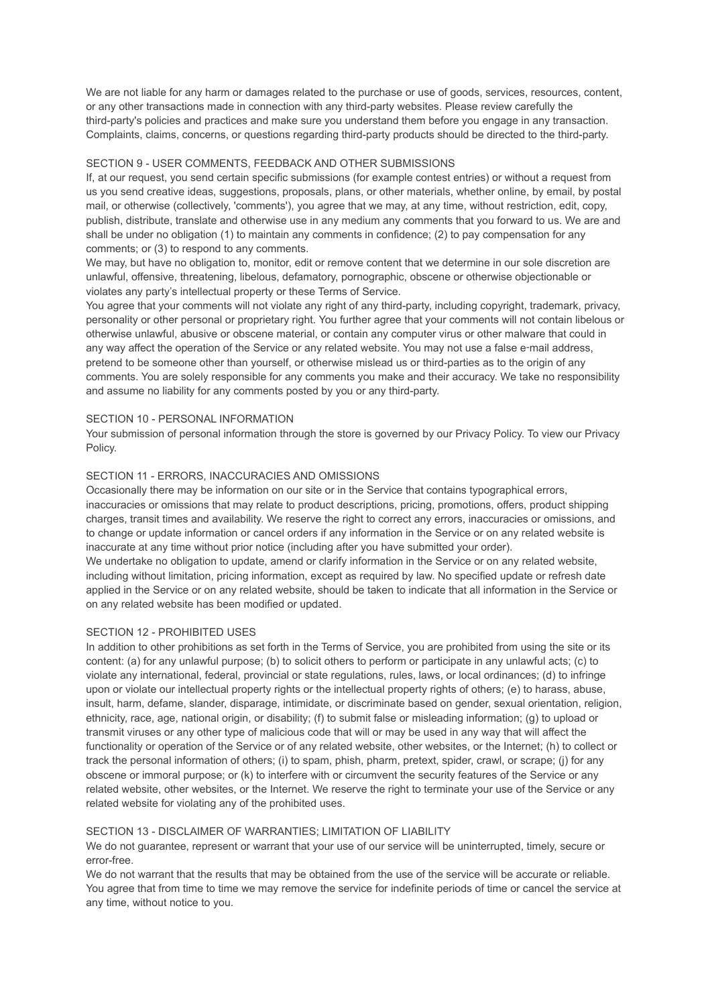We are not liable for any harm or damages related to the purchase or use of goods, services, resources, content, or any other transactions made in connection with any third-party websites. Please review carefully the third-party's policies and practices and make sure you understand them before you engage in any transaction. Complaints, claims, concerns, or questions regarding third-party products should be directed to the third-party.

## SECTION 9 - USER COMMENTS, FEEDBACK AND OTHER SUBMISSIONS

If, at our request, you send certain specific submissions (for example contest entries) or without a request from us you send creative ideas, suggestions, proposals, plans, or other materials, whether online, by email, by postal mail, or otherwise (collectively, 'comments'), you agree that we may, at any time, without restriction, edit, copy, publish, distribute, translate and otherwise use in any medium any comments that you forward to us. We are and shall be under no obligation (1) to maintain any comments in confidence; (2) to pay compensation for any comments; or (3) to respond to any comments.

We may, but have no obligation to, monitor, edit or remove content that we determine in our sole discretion are unlawful, offensive, threatening, libelous, defamatory, pornographic, obscene or otherwise objectionable or violates any party's intellectual property or these Terms of Service.

You agree that your comments will not violate any right of any third-party, including copyright, trademark, privacy, personality or other personal or proprietary right. You further agree that your comments will not contain libelous or otherwise unlawful, abusive or obscene material, or contain any computer virus or other malware that could in any way affect the operation of the Service or any related website. You may not use a false e-mail address, pretend to be someone other than yourself, or otherwise mislead us or third-parties as to the origin of any comments. You are solely responsible for any comments you make and their accuracy. We take no responsibility and assume no liability for any comments posted by you or any third-party.

#### SECTION 10 - PERSONAL INFORMATION

Your submission of personal information through the store is governed by our Privacy Policy. To view our Privacy Policy.

# SECTION 11 - ERRORS, INACCURACIES AND OMISSIONS

Occasionally there may be information on our site or in the Service that contains typographical errors, inaccuracies or omissions that may relate to product descriptions, pricing, promotions, offers, product shipping charges, transit times and availability. We reserve the right to correct any errors, inaccuracies or omissions, and to change or update information or cancel orders if any information in the Service or on any related website is inaccurate at any time without prior notice (including after you have submitted your order). We undertake no obligation to update, amend or clarify information in the Service or on any related website, including without limitation, pricing information, except as required by law. No specified update or refresh date applied in the Service or on any related website, should be taken to indicate that all information in the Service or on any related website has been modified or updated.

#### SECTION 12 - PROHIBITED USES

In addition to other prohibitions as set forth in the Terms of Service, you are prohibited from using the site or its content: (a) for any unlawful purpose; (b) to solicit others to perform or participate in any unlawful acts; (c) to violate any international, federal, provincial or state regulations, rules, laws, or local ordinances; (d) to infringe upon or violate our intellectual property rights or the intellectual property rights of others; (e) to harass, abuse, insult, harm, defame, slander, disparage, intimidate, or discriminate based on gender, sexual orientation, religion, ethnicity, race, age, national origin, or disability; (f) to submit false or misleading information; (g) to upload or transmit viruses or any other type of malicious code that will or may be used in any way that will affect the functionality or operation of the Service or of any related website, other websites, or the Internet; (h) to collect or track the personal information of others; (i) to spam, phish, pharm, pretext, spider, crawl, or scrape; (j) for any obscene or immoral purpose; or (k) to interfere with or circumvent the security features of the Service or any related website, other websites, or the Internet. We reserve the right to terminate your use of the Service or any related website for violating any of the prohibited uses.

# SECTION 13 - DISCLAIMER OF WARRANTIES; LIMITATION OF LIABILITY

We do not guarantee, represent or warrant that your use of our service will be uninterrupted, timely, secure or error-free.

We do not warrant that the results that may be obtained from the use of the service will be accurate or reliable. You agree that from time to time we may remove the service for indefinite periods of time or cancel the service at any time, without notice to you.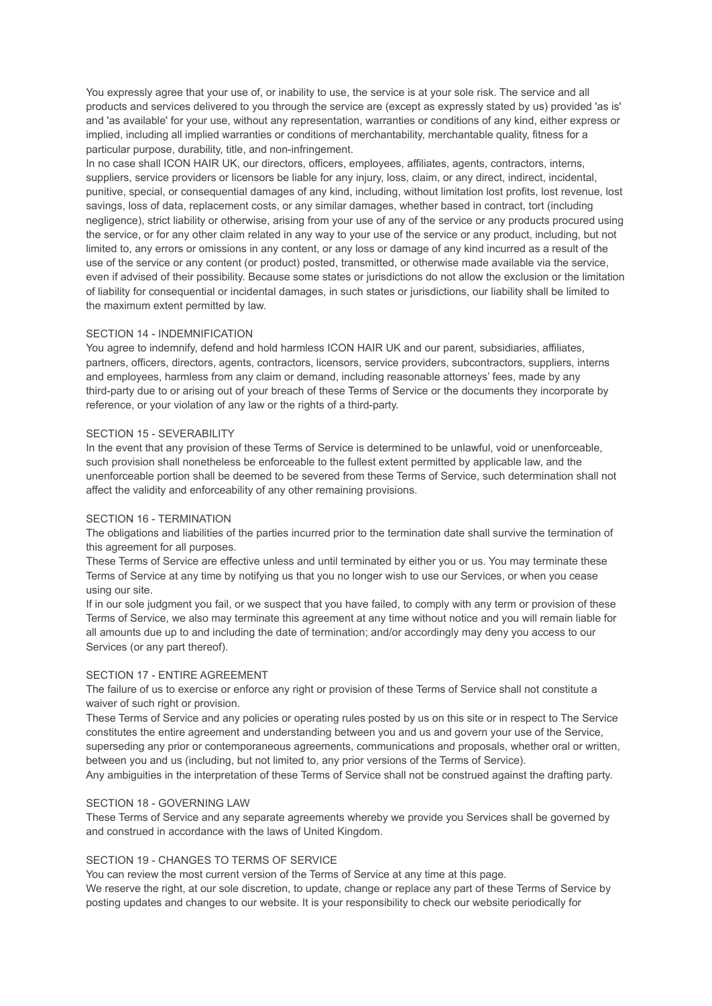You expressly agree that your use of, or inability to use, the service is at your sole risk. The service and all products and services delivered to you through the service are (except as expressly stated by us) provided 'as is' and 'as available' for your use, without any representation, warranties or conditions of any kind, either express or implied, including all implied warranties or conditions of merchantability, merchantable quality, fitness for a particular purpose, durability, title, and non-infringement.

In no case shall ICON HAIR UK, our directors, officers, employees, affiliates, agents, contractors, interns, suppliers, service providers or licensors be liable for any injury, loss, claim, or any direct, indirect, incidental, punitive, special, or consequential damages of any kind, including, without limitation lost profits, lost revenue, lost savings, loss of data, replacement costs, or any similar damages, whether based in contract, tort (including negligence), strict liability or otherwise, arising from your use of any of the service or any products procured using the service, or for any other claim related in any way to your use of the service or any product, including, but not limited to, any errors or omissions in any content, or any loss or damage of any kind incurred as a result of the use of the service or any content (or product) posted, transmitted, or otherwise made available via the service, even if advised of their possibility. Because some states or jurisdictions do not allow the exclusion or the limitation of liability for consequential or incidental damages, in such states or jurisdictions, our liability shall be limited to the maximum extent permitted by law.

# SECTION 14 - INDEMNIFICATION

You agree to indemnify, defend and hold harmless ICON HAIR UK and our parent, subsidiaries, affiliates, partners, officers, directors, agents, contractors, licensors, service providers, subcontractors, suppliers, interns and employees, harmless from any claim or demand, including reasonable attorneys' fees, made by any third-party due to or arising out of your breach of these Terms of Service or the documents they incorporate by reference, or your violation of any law or the rights of a third-party.

## SECTION 15 - SEVERABILITY

In the event that any provision of these Terms of Service is determined to be unlawful, void or unenforceable, such provision shall nonetheless be enforceable to the fullest extent permitted by applicable law, and the unenforceable portion shall be deemed to be severed from these Terms of Service, such determination shall not affect the validity and enforceability of any other remaining provisions.

# SECTION 16 - TERMINATION

The obligations and liabilities of the parties incurred prior to the termination date shall survive the termination of this agreement for all purposes.

These Terms of Service are effective unless and until terminated by either you or us. You may terminate these Terms of Service at any time by notifying us that you no longer wish to use our Services, or when you cease using our site.

If in our sole judgment you fail, or we suspect that you have failed, to comply with any term or provision of these Terms of Service, we also may terminate this agreement at any time without notice and you will remain liable for all amounts due up to and including the date of termination; and/or accordingly may deny you access to our Services (or any part thereof).

## SECTION 17 - ENTIRE AGREEMENT

The failure of us to exercise or enforce any right or provision of these Terms of Service shall not constitute a waiver of such right or provision.

These Terms of Service and any policies or operating rules posted by us on this site or in respect to The Service constitutes the entire agreement and understanding between you and us and govern your use of the Service, superseding any prior or contemporaneous agreements, communications and proposals, whether oral or written, between you and us (including, but not limited to, any prior versions of the Terms of Service).

Any ambiguities in the interpretation of these Terms of Service shall not be construed against the drafting party.

# SECTION 18 - GOVERNING I AW

These Terms of Service and any separate agreements whereby we provide you Services shall be governed by and construed in accordance with the laws of United Kingdom.

# SECTION 19 - CHANGES TO TERMS OF SERVICE

You can review the most current version of the Terms of Service at any time at this page.

We reserve the right, at our sole discretion, to update, change or replace any part of these Terms of Service by posting updates and changes to our website. It is your responsibility to check our website periodically for